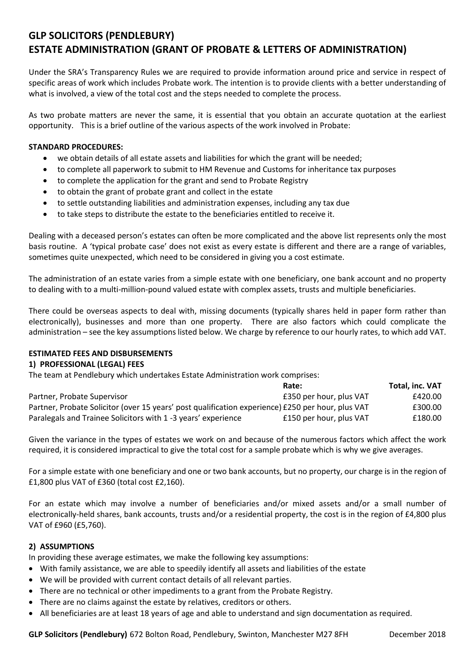# **GLP SOLICITORS (PENDLEBURY) ESTATE ADMINISTRATION (GRANT OF PROBATE & LETTERS OF ADMINISTRATION)**

Under the SRA's Transparency Rules we are required to provide information around price and service in respect of specific areas of work which includes Probate work. The intention is to provide clients with a better understanding of what is involved, a view of the total cost and the steps needed to complete the process.

As two probate matters are never the same, it is essential that you obtain an accurate quotation at the earliest opportunity. This is a brief outline of the various aspects of the work involved in Probate:

### **STANDARD PROCEDURES:**

- we obtain details of all estate assets and liabilities for which the grant will be needed;
- to complete all paperwork to submit to HM Revenue and Customs for inheritance tax purposes
- to complete the application for the grant and send to Probate Registry
- to obtain the grant of probate grant and collect in the estate
- to settle outstanding liabilities and administration expenses, including any tax due
- to take steps to distribute the estate to the beneficiaries entitled to receive it.

Dealing with a deceased person's estates can often be more complicated and the above list represents only the most basis routine. A 'typical probate case' does not exist as every estate is different and there are a range of variables, sometimes quite unexpected, which need to be considered in giving you a cost estimate.

The administration of an estate varies from a simple estate with one beneficiary, one bank account and no property to dealing with to a multi-million-pound valued estate with complex assets, trusts and multiple beneficiaries.

There could be overseas aspects to deal with, missing documents (typically shares held in paper form rather than electronically), businesses and more than one property. There are also factors which could complicate the administration – see the key assumptions listed below. We charge by reference to our hourly rates, to which add VAT.

## **ESTIMATED FEES AND DISBURSEMENTS**

#### **1) PROFESSIONAL (LEGAL) FEES**

The team at Pendlebury which undertakes Estate Administration work comprises:

|                                                                                                   | Rate:                   | Total, inc. VAT |
|---------------------------------------------------------------------------------------------------|-------------------------|-----------------|
| Partner, Probate Supervisor                                                                       | £350 per hour, plus VAT | £420.00         |
| Partner, Probate Solicitor (over 15 years' post qualification experience) £250 per hour, plus VAT |                         | £300.00         |
| Paralegals and Trainee Solicitors with 1 -3 years' experience                                     | £150 per hour, plus VAT | £180.00         |

Given the variance in the types of estates we work on and because of the numerous factors which affect the work required, it is considered impractical to give the total cost for a sample probate which is why we give averages.

For a simple estate with one beneficiary and one or two bank accounts, but no property, our charge is in the region of £1,800 plus VAT of £360 (total cost £2,160).

For an estate which may involve a number of beneficiaries and/or mixed assets and/or a small number of electronically-held shares, bank accounts, trusts and/or a residential property, the cost is in the region of £4,800 plus VAT of £960 (£5,760).

#### **2) ASSUMPTIONS**

In providing these average estimates, we make the following key assumptions:

- With family assistance, we are able to speedily identify all assets and liabilities of the estate
- We will be provided with current contact details of all relevant parties.
- There are no technical or other impediments to a grant from the Probate Registry.
- There are no claims against the estate by relatives, creditors or others.
- All beneficiaries are at least 18 years of age and able to understand and sign documentation as required.

**GLP Solicitors (Pendlebury)** 672 Bolton Road, Pendlebury, Swinton, Manchester M27 8FH December 2018